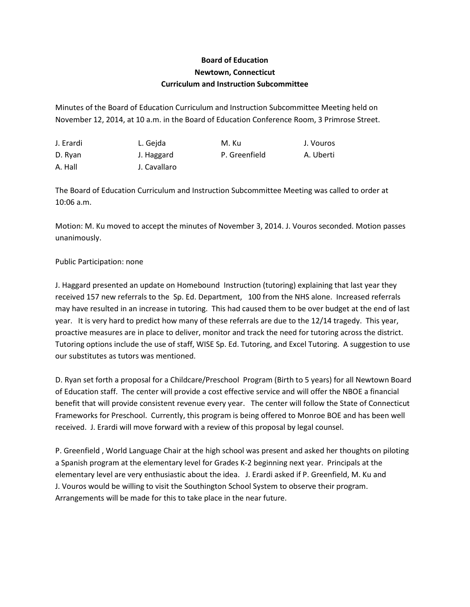## **Board of Education Newtown, Connecticut Curriculum and Instruction Subcommittee**

Minutes of the Board of Education Curriculum and Instruction Subcommittee Meeting held on November 12, 2014, at 10 a.m. in the Board of Education Conference Room, 3 Primrose Street.

| J. Erardi | L. Geida     | M. Ku         | J. Vouros |
|-----------|--------------|---------------|-----------|
| D. Ryan   | J. Haggard   | P. Greenfield | A. Uberti |
| A. Hall   | J. Cavallaro |               |           |

The Board of Education Curriculum and Instruction Subcommittee Meeting was called to order at 10:06 a.m.

Motion: M. Ku moved to accept the minutes of November 3, 2014. J. Vouros seconded. Motion passes unanimously.

## Public Participation: none

J. Haggard presented an update on Homebound Instruction (tutoring) explaining that last year they received 157 new referrals to the Sp. Ed. Department, 100 from the NHS alone. Increased referrals may have resulted in an increase in tutoring. This had caused them to be over budget at the end of last year. It is very hard to predict how many of these referrals are due to the 12/14 tragedy. This year, proactive measures are in place to deliver, monitor and track the need for tutoring across the district. Tutoring options include the use of staff, WISE Sp. Ed. Tutoring, and Excel Tutoring. A suggestion to use our substitutes as tutors was mentioned.

D. Ryan set forth a proposal for a Childcare/Preschool Program (Birth to 5 years) for all Newtown Board of Education staff. The center will provide a cost effective service and will offer the NBOE a financial benefit that will provide consistent revenue every year. The center will follow the State of Connecticut Frameworks for Preschool. Currently, this program is being offered to Monroe BOE and has been well received. J. Erardi will move forward with a review of this proposal by legal counsel.

P. Greenfield , World Language Chair at the high school was present and asked her thoughts on piloting a Spanish program at the elementary level for Grades K-2 beginning next year. Principals at the elementary level are very enthusiastic about the idea. J. Erardi asked if P. Greenfield, M. Ku and J. Vouros would be willing to visit the Southington School System to observe their program. Arrangements will be made for this to take place in the near future.